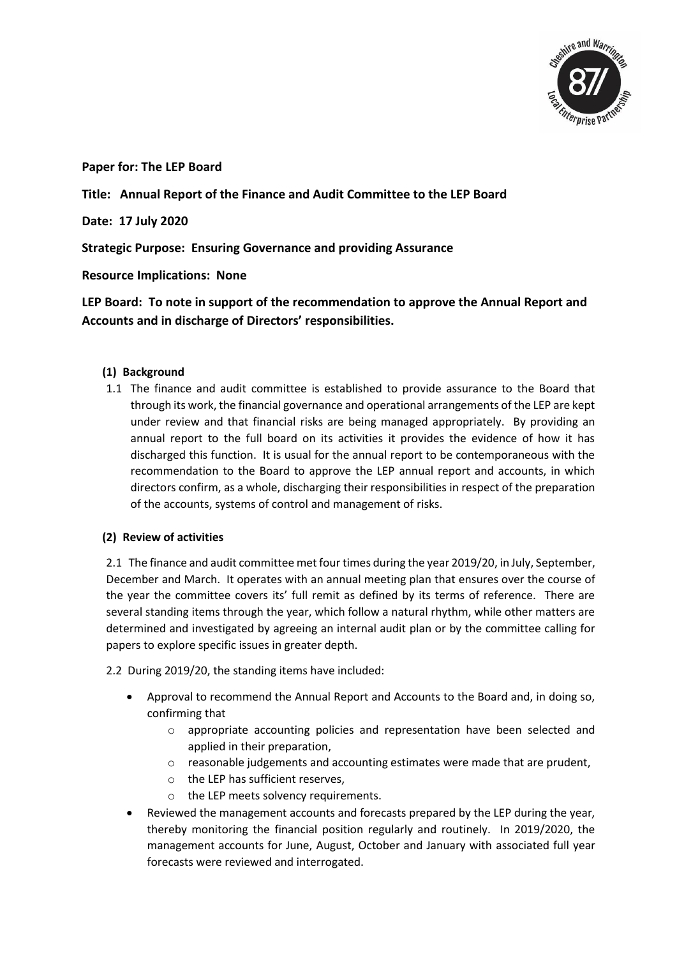

**Paper for: The LEP Board**

## **Title: Annual Report of the Finance and Audit Committee to the LEP Board**

**Date: 17 July 2020**

**Strategic Purpose: Ensuring Governance and providing Assurance**

**Resource Implications: None**

**LEP Board: To note in support of the recommendation to approve the Annual Report and Accounts and in discharge of Directors' responsibilities.** 

## **(1) Background**

1.1 The finance and audit committee is established to provide assurance to the Board that through its work, the financial governance and operational arrangements of the LEP are kept under review and that financial risks are being managed appropriately. By providing an annual report to the full board on its activities it provides the evidence of how it has discharged this function. It is usual for the annual report to be contemporaneous with the recommendation to the Board to approve the LEP annual report and accounts, in which directors confirm, as a whole, discharging their responsibilities in respect of the preparation of the accounts, systems of control and management of risks.

## **(2) Review of activities**

2.1 The finance and audit committee met four times during the year 2019/20, in July, September, December and March. It operates with an annual meeting plan that ensures over the course of the year the committee covers its' full remit as defined by its terms of reference. There are several standing items through the year, which follow a natural rhythm, while other matters are determined and investigated by agreeing an internal audit plan or by the committee calling for papers to explore specific issues in greater depth.

2.2 During 2019/20, the standing items have included:

- Approval to recommend the Annual Report and Accounts to the Board and, in doing so, confirming that
	- o appropriate accounting policies and representation have been selected and applied in their preparation,
	- o reasonable judgements and accounting estimates were made that are prudent,
	- o the LEP has sufficient reserves,
	- o the LEP meets solvency requirements.
- Reviewed the management accounts and forecasts prepared by the LEP during the year, thereby monitoring the financial position regularly and routinely. In 2019/2020, the management accounts for June, August, October and January with associated full year forecasts were reviewed and interrogated.